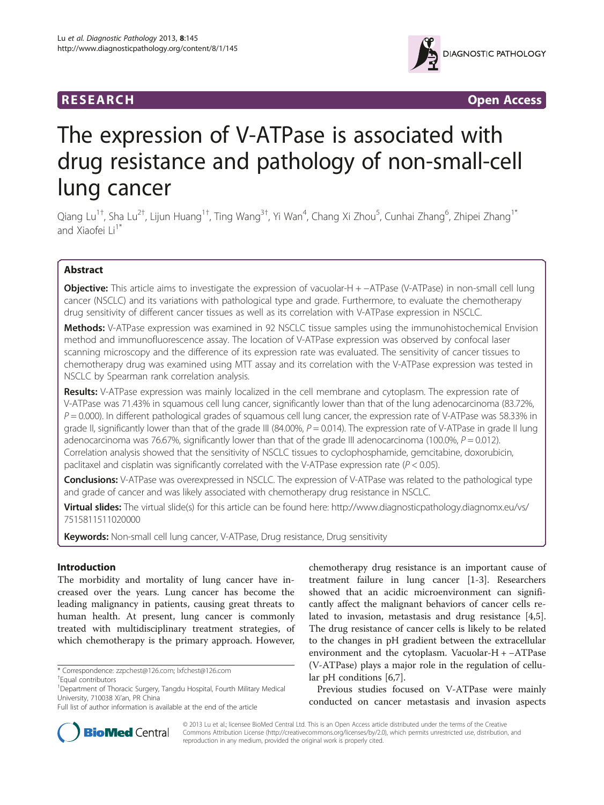## **RESEARCH RESEARCH** *CHECKER CHECKER CONTROLLER*



# The expression of V-ATPase is associated with drug resistance and pathology of non-small-cell lung cancer

Qiang Lu<sup>1†</sup>, Sha Lu<sup>2†</sup>, Lijun Huang<sup>1†</sup>, Ting Wang<sup>3†</sup>, Yi Wan<sup>4</sup>, Chang Xi Zhou<sup>5</sup>, Cunhai Zhang<sup>6</sup>, Zhipei Zhang<sup>1\*</sup> and Xiaofei Li<sup>1\*</sup>

## Abstract

Objective: This article aims to investigate the expression of vacuolar-H + −ATPase (V-ATPase) in non-small cell lung cancer (NSCLC) and its variations with pathological type and grade. Furthermore, to evaluate the chemotherapy drug sensitivity of different cancer tissues as well as its correlation with V-ATPase expression in NSCLC.

Methods: V-ATPase expression was examined in 92 NSCLC tissue samples using the immunohistochemical Envision method and immunofluorescence assay. The location of V-ATPase expression was observed by confocal laser scanning microscopy and the difference of its expression rate was evaluated. The sensitivity of cancer tissues to chemotherapy drug was examined using MTT assay and its correlation with the V-ATPase expression was tested in NSCLC by Spearman rank correlation analysis.

Results: V-ATPase expression was mainly localized in the cell membrane and cytoplasm. The expression rate of V-ATPase was 71.43% in squamous cell lung cancer, significantly lower than that of the lung adenocarcinoma (83.72%,  $P = 0.000$ ). In different pathological grades of squamous cell lung cancer, the expression rate of V-ATPase was 58.33% in grade II, significantly lower than that of the grade III (84.00%,  $P = 0.014$ ). The expression rate of V-ATPase in grade II lung adenocarcinoma was 76.67%, significantly lower than that of the grade III adenocarcinoma (100.0%,  $P = 0.012$ ). Correlation analysis showed that the sensitivity of NSCLC tissues to cyclophosphamide, gemcitabine, doxorubicin, paclitaxel and cisplatin was significantly correlated with the V-ATPase expression rate ( $P < 0.05$ ).

Conclusions: V-ATPase was overexpressed in NSCLC. The expression of V-ATPase was related to the pathological type and grade of cancer and was likely associated with chemotherapy drug resistance in NSCLC.

Virtual slides: The virtual slide(s) for this article can be found here: [http://www.diagnosticpathology.diagnomx.eu/vs/](http://www.diagnosticpathology.diagnomx.eu/vs/7515811511020000) [7515811511020000](http://www.diagnosticpathology.diagnomx.eu/vs/7515811511020000)

Keywords: Non-small cell lung cancer, V-ATPase, Drug resistance, Drug sensitivity

## Introduction

The morbidity and mortality of lung cancer have increased over the years. Lung cancer has become the leading malignancy in patients, causing great threats to human health. At present, lung cancer is commonly treated with multidisciplinary treatment strategies, of which chemotherapy is the primary approach. However,

chemotherapy drug resistance is an important cause of treatment failure in lung cancer [\[1-3](#page-5-0)]. Researchers showed that an acidic microenvironment can significantly affect the malignant behaviors of cancer cells related to invasion, metastasis and drug resistance [\[4,5](#page-5-0)]. The drug resistance of cancer cells is likely to be related to the changes in pH gradient between the extracellular environment and the cytoplasm. Vacuolar-H + −ATPase (V-ATPase) plays a major role in the regulation of cellular pH conditions [[6,7\]](#page-5-0).

Previous studies focused on V-ATPase were mainly conducted on cancer metastasis and invasion aspects



© 2013 Lu et al.; licensee BioMed Central Ltd. This is an Open Access article distributed under the terms of the Creative Commons Attribution License [\(http://creativecommons.org/licenses/by/2.0\)](http://creativecommons.org/licenses/by/2.0), which permits unrestricted use, distribution, and reproduction in any medium, provided the original work is properly cited.

<sup>\*</sup> Correspondence: [zzpchest@126.com](mailto:zzpchest@126.com); [lxfchest@126.com](mailto:lxfchest@126.com) †

Equal contributors

<sup>&</sup>lt;sup>1</sup> Department of Thoracic Surgery, Tangdu Hospital, Fourth Military Medical University, 710038 Xi'an, PR China

Full list of author information is available at the end of the article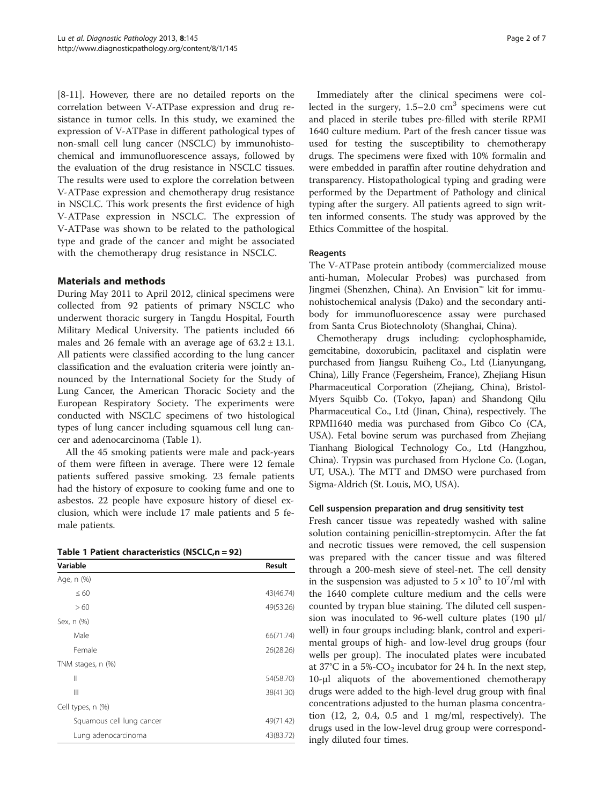[[8-11](#page-5-0)]. However, there are no detailed reports on the correlation between V-ATPase expression and drug resistance in tumor cells. In this study, we examined the expression of V-ATPase in different pathological types of non-small cell lung cancer (NSCLC) by immunohistochemical and immunofluorescence assays, followed by the evaluation of the drug resistance in NSCLC tissues. The results were used to explore the correlation between V-ATPase expression and chemotherapy drug resistance in NSCLC. This work presents the first evidence of high V-ATPase expression in NSCLC. The expression of V-ATPase was shown to be related to the pathological type and grade of the cancer and might be associated with the chemotherapy drug resistance in NSCLC.

## Materials and methods

During May 2011 to April 2012, clinical specimens were collected from 92 patients of primary NSCLC who underwent thoracic surgery in Tangdu Hospital, Fourth Military Medical University. The patients included 66 males and 26 female with an average age of  $63.2 \pm 13.1$ . All patients were classified according to the lung cancer classification and the evaluation criteria were jointly announced by the International Society for the Study of Lung Cancer, the American Thoracic Society and the European Respiratory Society. The experiments were conducted with NSCLC specimens of two histological types of lung cancer including squamous cell lung cancer and adenocarcinoma (Table 1).

All the 45 smoking patients were male and pack-years of them were fifteen in average. There were 12 female patients suffered passive smoking. 23 female patients had the history of exposure to cooking fume and one to asbestos. 22 people have exposure history of diesel exclusion, which were include 17 male patients and 5 female patients.

|  |  | Table 1 Patient characteristics (NSCLC,n = 92) |  |  |
|--|--|------------------------------------------------|--|--|
|--|--|------------------------------------------------|--|--|

| Variable                  | Result    |
|---------------------------|-----------|
| Age, n (%)                |           |
| $\leq 60$                 | 43(46.74) |
| >60                       | 49(53.26) |
| Sex, n (%)                |           |
| Male                      | 66(71.74) |
| Female                    | 26(28.26) |
| TNM stages, n (%)         |           |
| Ш                         | 54(58.70) |
| Ш                         | 38(41.30) |
| Cell types, n (%)         |           |
| Squamous cell lung cancer | 49(71.42) |
| Lung adenocarcinoma       | 43(83.72) |

Immediately after the clinical specimens were collected in the surgery,  $1.5-2.0$  cm<sup>3</sup> specimens were cut and placed in sterile tubes pre-filled with sterile RPMI 1640 culture medium. Part of the fresh cancer tissue was used for testing the susceptibility to chemotherapy drugs. The specimens were fixed with 10% formalin and were embedded in paraffin after routine dehydration and transparency. Histopathological typing and grading were performed by the Department of Pathology and clinical typing after the surgery. All patients agreed to sign written informed consents. The study was approved by the Ethics Committee of the hospital.

#### Reagents

The V-ATPase protein antibody (commercialized mouse anti-human, Molecular Probes) was purchased from Jingmei (Shenzhen, China). An Envision™ kit for immunohistochemical analysis (Dako) and the secondary antibody for immunofluorescence assay were purchased from Santa Crus Biotechnoloty (Shanghai, China).

Chemotherapy drugs including: cyclophosphamide, gemcitabine, doxorubicin, paclitaxel and cisplatin were purchased from Jiangsu Ruiheng Co., Ltd (Lianyungang, China), Lilly France (Fegersheim, France), Zhejiang Hisun Pharmaceutical Corporation (Zhejiang, China), Bristol-Myers Squibb Co. (Tokyo, Japan) and Shandong Qilu Pharmaceutical Co., Ltd (Jinan, China), respectively. The RPMI1640 media was purchased from Gibco Co (CA, USA). Fetal bovine serum was purchased from Zhejiang Tianhang Biological Technology Co., Ltd (Hangzhou, China). Trypsin was purchased from Hyclone Co. (Logan, UT, USA.). The MTT and DMSO were purchased from Sigma-Aldrich (St. Louis, MO, USA).

#### Cell suspension preparation and drug sensitivity test

Fresh cancer tissue was repeatedly washed with saline solution containing penicillin-streptomycin. After the fat and necrotic tissues were removed, the cell suspension was prepared with the cancer tissue and was filtered through a 200-mesh sieve of steel-net. The cell density in the suspension was adjusted to  $5 \times 10^5$  to  $10^7$ /ml with the 1640 complete culture medium and the cells were counted by trypan blue staining. The diluted cell suspension was inoculated to 96-well culture plates (190  $\mu$ l/ well) in four groups including: blank, control and experimental groups of high- and low-level drug groups (four wells per group). The inoculated plates were incubated at 37°C in a 5%- $CO_2$  incubator for 24 h. In the next step, 10-μl aliquots of the abovementioned chemotherapy drugs were added to the high-level drug group with final concentrations adjusted to the human plasma concentration (12, 2, 0.4, 0.5 and 1 mg/ml, respectively). The drugs used in the low-level drug group were correspondingly diluted four times.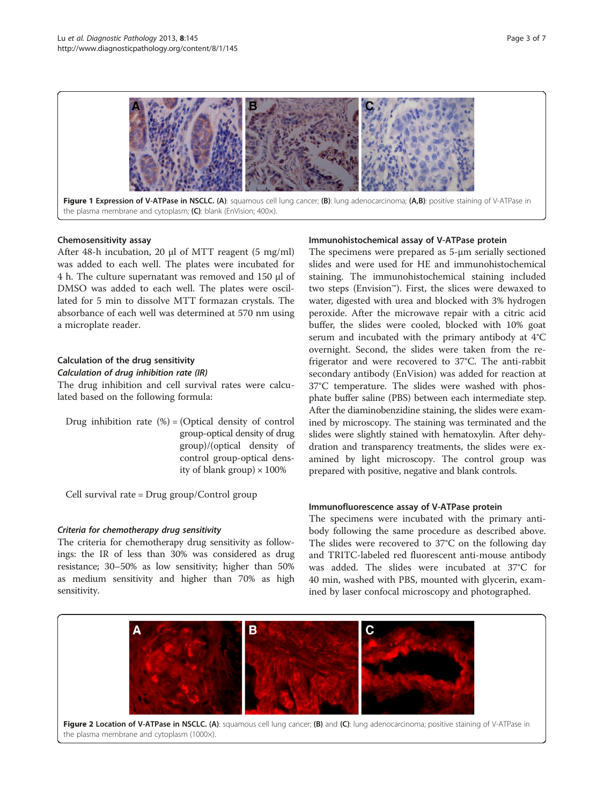<span id="page-2-0"></span>

Figure 1 Expression of V-ATPase in NSCLC. (A): squamous cell lung cancer; (B): lung adenocarcinoma; (A,B): positive staining of V-ATPase in the plasma membrane and cytoplasm; (C): blank (EnVision; 400x).

#### Chemosensitivity assay

After 48-h incubation, 20 μl of MTT reagent (5 mg/ml) was added to each well. The plates were incubated for 4 h. The culture supernatant was removed and 150 μl of DMSO was added to each well. The plates were oscillated for 5 min to dissolve MTT formazan crystals. The absorbance of each well was determined at 570 nm using a microplate reader.

#### Calculation of the drug sensitivity

#### Calculation of drug inhibition rate (IR)

The drug inhibition and cell survival rates were calculated based on the following formula:

Drug inhibition rate  $(\%)$  = (Optical density of control group-optical density of drug group)/(optical density of control group-optical density of blank group)  $\times$  100%

Cell survival rate = Drug group/Control group

#### Criteria for chemotherapy drug sensitivity

The criteria for chemotherapy drug sensitivity as followings: the IR of less than 30% was considered as drug resistance; 30–50% as low sensitivity; higher than 50% as medium sensitivity and higher than 70% as high sensitivity.

#### Immunohistochemical assay of V-ATPase protein

The specimens were prepared as 5-μm serially sectioned slides and were used for HE and immunohistochemical staining. The immunohistochemical staining included two steps (Envision™). First, the slices were dewaxed to water, digested with urea and blocked with 3% hydrogen peroxide. After the microwave repair with a citric acid buffer, the slides were cooled, blocked with 10% goat serum and incubated with the primary antibody at 4°C overnight. Second, the slides were taken from the refrigerator and were recovered to 37°C. The anti-rabbit secondary antibody (EnVision) was added for reaction at 37°C temperature. The slides were washed with phosphate buffer saline (PBS) between each intermediate step. After the diaminobenzidine staining, the slides were examined by microscopy. The staining was terminated and the slides were slightly stained with hematoxylin. After dehydration and transparency treatments, the slides were examined by light microscopy. The control group was prepared with positive, negative and blank controls.

#### Immunofluorescence assay of V-ATPase protein

The specimens were incubated with the primary antibody following the same procedure as described above. The slides were recovered to 37°C on the following day and TRITC-labeled red fluorescent anti-mouse antibody was added. The slides were incubated at 37°C for 40 min, washed with PBS, mounted with glycerin, examined by laser confocal microscopy and photographed.



the plasma membrane and cytoplasm (1000×).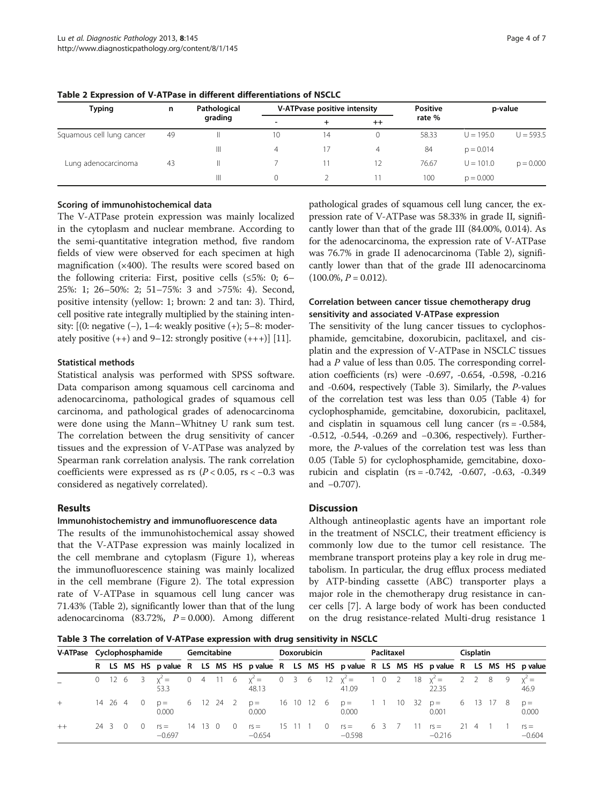| Typing                    | n  | Pathological |    | V-ATPvase positive intensity |      | <b>Positive</b> | p-value     |             |  |  |  |
|---------------------------|----|--------------|----|------------------------------|------|-----------------|-------------|-------------|--|--|--|
|                           |    | grading      | -  |                              | $++$ | rate %          |             |             |  |  |  |
| Squamous cell lung cancer | 49 |              | 10 | 14                           |      | 58.33           | $U = 195.0$ | $U = 593.5$ |  |  |  |
|                           |    | Ш            | 4  | 17                           | 4    | 84              | $p = 0.014$ |             |  |  |  |
| Lung adenocarcinoma       | 43 | Ш            |    | 11                           | 12   | 76.67           | $U = 101.0$ | $p = 0.000$ |  |  |  |
|                           |    | Ш            |    |                              |      | 100             | $p = 0.000$ |             |  |  |  |

Table 2 Expression of V-ATPase in different differentiations of NSCLC

## Scoring of immunohistochemical data

The V-ATPase protein expression was mainly localized in the cytoplasm and nuclear membrane. According to the semi-quantitative integration method, five random fields of view were observed for each specimen at high magnification (×400). The results were scored based on the following criteria: First, positive cells (≤5%: 0; 6– 25%: 1; 26–50%: 2; 51–75%: 3 and >75%: 4). Second, positive intensity (yellow: 1; brown: 2 and tan: 3). Third, cell positive rate integrally multiplied by the staining intensity:  $[(0: negative (-), 1-4: weakly positive (+); 5-8: modern$ ately positive  $(++)$  and 9–12: strongly positive  $(+++)$ ] [\[11](#page-5-0)].

## Statistical methods

Statistical analysis was performed with SPSS software. Data comparison among squamous cell carcinoma and adenocarcinoma, pathological grades of squamous cell carcinoma, and pathological grades of adenocarcinoma were done using the Mann–Whitney U rank sum test. The correlation between the drug sensitivity of cancer tissues and the expression of V-ATPase was analyzed by Spearman rank correlation analysis. The rank correlation coefficients were expressed as rs  $(P < 0.05, \text{rs} < -0.3 \text{ was})$ considered as negatively correlated).

## Results

## Immunohistochemistry and immunofluorescence data

The results of the immunohistochemical assay showed that the V-ATPase expression was mainly localized in the cell membrane and cytoplasm (Figure [1](#page-2-0)), whereas the immunofluorescence staining was mainly localized in the cell membrane (Figure [2](#page-2-0)). The total expression rate of V-ATPase in squamous cell lung cancer was 71.43% (Table 2), significantly lower than that of the lung adenocarcinoma (83.72%,  $P = 0.000$ ). Among different pathological grades of squamous cell lung cancer, the expression rate of V-ATPase was 58.33% in grade II, significantly lower than that of the grade III (84.00%, 0.014). As for the adenocarcinoma, the expression rate of V-ATPase was 76.7% in grade II adenocarcinoma (Table 2), significantly lower than that of the grade III adenocarcinoma  $(100.0\%, P = 0.012).$ 

## Correlation between cancer tissue chemotherapy drug sensitivity and associated V-ATPase expression

The sensitivity of the lung cancer tissues to cyclophosphamide, gemcitabine, doxorubicin, paclitaxel, and cisplatin and the expression of V-ATPase in NSCLC tissues had a P value of less than 0.05. The corresponding correlation coefficients (rs) were -0.697, -0.654, -0.598, -0.216 and -0.604, respectively (Table 3). Similarly, the P-values of the correlation test was less than 0.05 (Table [4](#page-4-0)) for cyclophosphamide, gemcitabine, doxorubicin, paclitaxel, and cisplatin in squamous cell lung cancer (rs = -0.584, -0.512, -0.544, -0.269 and −0.306, respectively). Furthermore, the P-values of the correlation test was less than 0.05 (Table [5\)](#page-4-0) for cyclophosphamide, gemcitabine, doxorubicin and cisplatin (rs = -0.742, -0.607, -0.63, -0.349 and −0.707).

## **Discussion**

Although antineoplastic agents have an important role in the treatment of NSCLC, their treatment efficiency is commonly low due to the tumor cell resistance. The membrane transport proteins play a key role in drug metabolism. In particular, the drug efflux process mediated by ATP-binding cassette (ABC) transporter plays a major role in the chemotherapy drug resistance in cancer cells [[7\]](#page-5-0). A large body of work has been conducted on the drug resistance-related Multi-drug resistance 1

Table 3 The correlation of V-ATPase expression with drug sensitivity in NSCLC

| V-ATPase Cyclophosphamide |      |  |                  |  |                    | Gemcitabine |      |                  |               |                                         |  | Doxorubicin |  |          |                    |  | Paclitaxel |           |  |                                                                                                |  |       | <b>Cisplatin</b> |   |                    |  |  |
|---------------------------|------|--|------------------|--|--------------------|-------------|------|------------------|---------------|-----------------------------------------|--|-------------|--|----------|--------------------|--|------------|-----------|--|------------------------------------------------------------------------------------------------|--|-------|------------------|---|--------------------|--|--|
|                           |      |  |                  |  |                    |             |      |                  |               |                                         |  |             |  |          |                    |  |            |           |  | R LS MS HS p value R LS MS HS p value R LS MS HS p value R LS MS HS p value R LS MS HS p value |  |       |                  |   |                    |  |  |
|                           |      |  | $0 \t12 \t6 \t3$ |  | $y^2 =$<br>53.3    |             |      | $0 \t4 \t11 \t6$ |               | $x^2 = 0$ 3 6 12 $x^2 = 1$ 0 2<br>48.13 |  |             |  |          | 41.09              |  |            |           |  | $18 \text{ } x^2 =$<br>22.35                                                                   |  | 2 2 8 |                  | 9 | $y^2 =$<br>46.9    |  |  |
|                           |      |  | 14 26 4 0        |  | $D =$<br>0.000     |             |      | 6 12 24 2        |               | $p = 1610126$<br>0.000                  |  |             |  |          | $p =$<br>0.000     |  |            | 1 1 10 32 |  | $p =$<br>0.001                                                                                 |  |       | 6 13 17 8        |   | $p =$<br>0.000     |  |  |
| $++$                      | 24 R |  |                  |  | $rs =$<br>$-0.697$ | 14          | 13() |                  | <sup>()</sup> | $rs =$<br>$-0654$                       |  | 15 11       |  | $\Omega$ | $rs =$<br>$-0.598$ |  | 63/        |           |  | $rs =$<br>$-0.216$                                                                             |  |       |                  |   | $rs =$<br>$-0.604$ |  |  |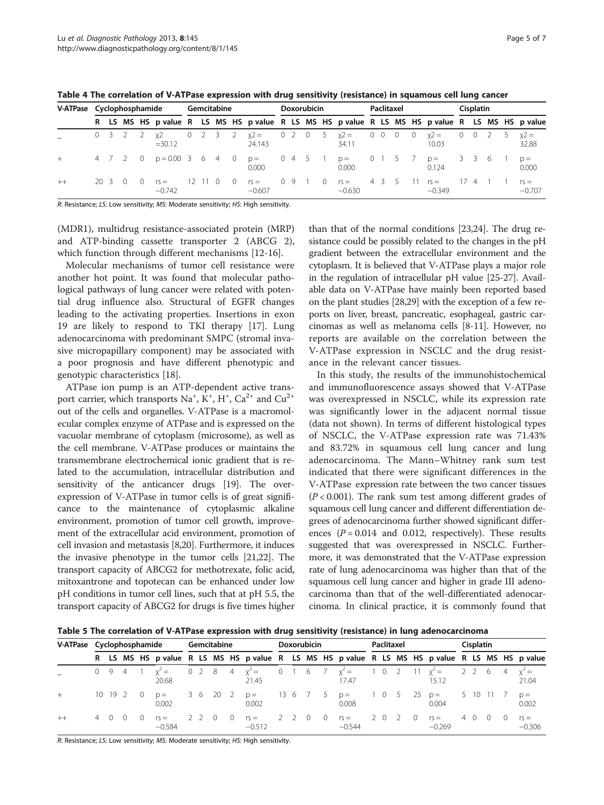| ⊣וזו | ונ |  |
|------|----|--|

<span id="page-4-0"></span>

|  |  |  |  |  |  |  |  |  | Table 4 The correlation of V-ATPase expression with drug sensitivity (resistance) in squamous cell lung cancer |
|--|--|--|--|--|--|--|--|--|----------------------------------------------------------------------------------------------------------------|
|--|--|--|--|--|--|--|--|--|----------------------------------------------------------------------------------------------------------------|

| V-ATPase Cyclophosphamide |  |          |  |  | Gemcitabine            |         |  |                  |                                                                                                | <b>Doxorubicin</b> |  |             |  |                   | Paclitaxel |  |                             |  |                                    |  | <b>Cisplatin</b> |  |  |                    |  |
|---------------------------|--|----------|--|--|------------------------|---------|--|------------------|------------------------------------------------------------------------------------------------|--------------------|--|-------------|--|-------------------|------------|--|-----------------------------|--|------------------------------------|--|------------------|--|--|--------------------|--|
|                           |  |          |  |  |                        |         |  |                  | R LS MS HS p value R LS MS HS p value R LS MS HS p value R LS MS HS p value R LS MS HS p value |                    |  |             |  |                   |            |  |                             |  |                                    |  |                  |  |  |                    |  |
|                           |  |          |  |  | $=30.12$               |         |  |                  | 0 3 2 2 $\chi$ 2 0 2 3 2 $\chi$ 2 = 0 2 0 5 $\chi$ 2 = 0 0 0 0 $\chi$ 2 = 0 0 2 5<br>24.143    |                    |  |             |  | 34.11             |            |  |                             |  | 10.03                              |  |                  |  |  | $x^2 =$<br>32.88   |  |
|                           |  |          |  |  | 4 7 2 0 p=0.00 3 6 4 0 |         |  |                  | p = 0 4 5 1<br>0.000                                                                           |                    |  |             |  | $p =$<br>0.000    |            |  | $0 \quad 1 \quad 5 \quad 7$ |  | p = 336 1<br>0.124                 |  |                  |  |  | $p =$<br>0.000     |  |
| $++$                      |  | -20 -3 - |  |  | $rs =$<br>$-0.742$     | 12 11 0 |  | $\left( \right)$ | $rs =$<br>$-0.607$                                                                             | 09                 |  | $1 \quad 0$ |  | $rs =$<br>$-0630$ |            |  |                             |  | 4 3 5 11 rs = 17 4 1 1<br>$-0.349$ |  |                  |  |  | $rs =$<br>$-0.707$ |  |

R: Resistance; LS: Low sensitivity; MS: Moderate sensitivity; HS: High sensitivity.

(MDR1), multidrug resistance-associated protein (MRP) and ATP-binding cassette transporter 2 (ABCG 2), which function through different mechanisms [[12-16](#page-5-0)].

Molecular mechanisms of tumor cell resistance were another hot point. It was found that molecular pathological pathways of lung cancer were related with potential drug influence also. Structural of EGFR changes leading to the activating properties. Insertions in exon 19 are likely to respond to TKI therapy [\[17](#page-6-0)]. Lung adenocarcinoma with predominant SMPC (stromal invasive micropapillary component) may be associated with a poor prognosis and have different phenotypic and genotypic characteristics [\[18](#page-6-0)].

ATPase ion pump is an ATP-dependent active transport carrier, which transports  $\mathrm{Na}^+$ , K<sup>+</sup>, H<sup>+</sup>,  $\mathrm{Ca}^{2+}$  and  $\mathrm{Cu}^{2+}$ out of the cells and organelles. V-ATPase is a macromolecular complex enzyme of ATPase and is expressed on the vacuolar membrane of cytoplasm (microsome), as well as the cell membrane. V-ATPase produces or maintains the transmembrane electrochemical ionic gradient that is related to the accumulation, intracellular distribution and sensitivity of the anticancer drugs [\[19\]](#page-6-0). The overexpression of V-ATPase in tumor cells is of great significance to the maintenance of cytoplasmic alkaline environment, promotion of tumor cell growth, improvement of the extracellular acid environment, promotion of cell invasion and metastasis [\[8](#page-5-0)[,20\]](#page-6-0). Furthermore, it induces the invasive phenotype in the tumor cells [\[21,22](#page-6-0)]. The transport capacity of ABCG2 for methotrexate, folic acid, mitoxantrone and topotecan can be enhanced under low pH conditions in tumor cell lines, such that at pH 5.5, the transport capacity of ABCG2 for drugs is five times higher

than that of the normal conditions [\[23,24](#page-6-0)]. The drug resistance could be possibly related to the changes in the pH gradient between the extracellular environment and the cytoplasm. It is believed that V-ATPase plays a major role in the regulation of intracellular pH value [\[25-27](#page-6-0)]. Available data on V-ATPase have mainly been reported based on the plant studies [\[28,29\]](#page-6-0) with the exception of a few reports on liver, breast, pancreatic, esophageal, gastric carcinomas as well as melanoma cells [\[8-11\]](#page-5-0). However, no reports are available on the correlation between the V-ATPase expression in NSCLC and the drug resistance in the relevant cancer tissues.

In this study, the results of the immunohistochemical and immunofluorescence assays showed that V-ATPase was overexpressed in NSCLC, while its expression rate was significantly lower in the adjacent normal tissue (data not shown). In terms of different histological types of NSCLC, the V-ATPase expression rate was 71.43% and 83.72% in squamous cell lung cancer and lung adenocarcinoma. The Mann–Whitney rank sum test indicated that there were significant differences in the V-ATPase expression rate between the two cancer tissues  $(P < 0.001)$ . The rank sum test among different grades of squamous cell lung cancer and different differentiation degrees of adenocarcinoma further showed significant differences  $(P = 0.014$  and 0.012, respectively). These results suggested that was overexpressed in NSCLC. Furthermore, it was demonstrated that the V-ATPase expression rate of lung adenocarcinoma was higher than that of the squamous cell lung cancer and higher in grade ΙΙΙ adenocarcinoma than that of the well-differentiated adenocarcinoma. In clinical practice, it is commonly found that

Table 5 The correlation of V-ATPase expression with drug sensitivity (resistance) in lung adenocarcinoma

|         | V-ATPase Cyclophosphamide |         |      |   |                                                                                                | Gemcitabine |    |      |  |                                    | <b>Doxorubicin</b> |  |         |  |                                           | Paclitaxel |  |          |    |                    |      | <b>Cisplatin</b> |         |  |                    |  |
|---------|---------------------------|---------|------|---|------------------------------------------------------------------------------------------------|-------------|----|------|--|------------------------------------|--------------------|--|---------|--|-------------------------------------------|------------|--|----------|----|--------------------|------|------------------|---------|--|--------------------|--|
|         |                           |         |      |   | R LS MS HS p value R LS MS HS p value R LS MS HS p value R LS MS HS p value R LS MS HS p value |             |    |      |  |                                    |                    |  |         |  |                                           |            |  |          |    |                    |      |                  |         |  |                    |  |
|         | 0 <sub>9</sub>            |         | $-4$ |   | 20.68                                                                                          |             |    |      |  | $y^2 = 0$ 2 8 4 $y^2 = 1$<br>21.45 |                    |  |         |  | 0 1 6 7 $x^2 = 1$ 0 2 11 $x^2 =$<br>17.47 |            |  |          |    | 15.12              |      |                  | 2 2 6 4 |  | $Y^2 =$<br>21.04   |  |
|         |                           | 10 19 2 |      | 0 | $D =$<br>0.002                                                                                 |             | 36 | 20 2 |  | $p =$<br>0.002                     |                    |  | 136 / 5 |  | $p =$<br>0.008                            |            |  | 1 0 5 25 |    | $p =$<br>0.004     |      | 5 10             |         |  | $D =$<br>0.002     |  |
| $^{++}$ |                           |         |      |   | $rs =$<br>$-0.584$                                                                             |             |    |      |  | $rs =$<br>$-0.512$                 |                    |  |         |  | $rs =$<br>$-0.544$                        |            |  |          | () | $rs =$<br>$-0.269$ | 4 () |                  |         |  | $rs =$<br>$-0.306$ |  |

R: Resistance; LS: Low sensitivity; MS: Moderate sensitivity; HS: High sensitivity.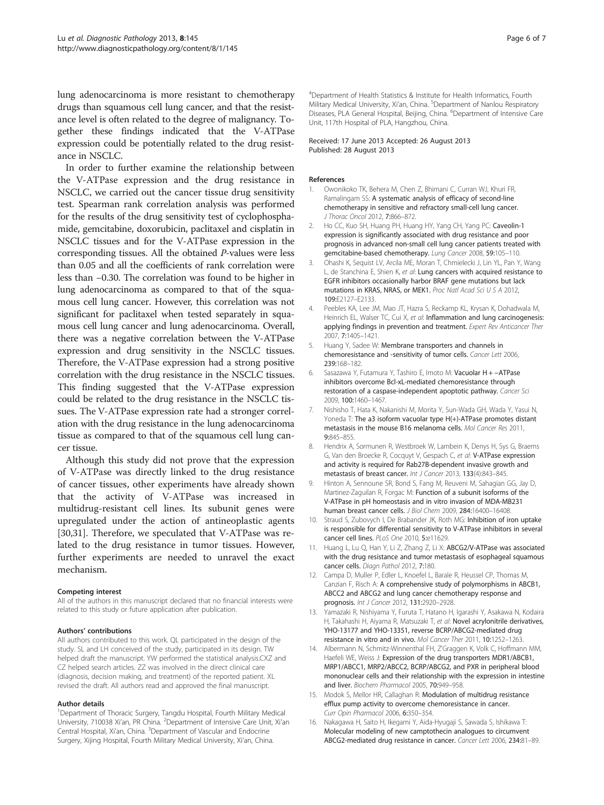<span id="page-5-0"></span>lung adenocarcinoma is more resistant to chemotherapy drugs than squamous cell lung cancer, and that the resistance level is often related to the degree of malignancy. Together these findings indicated that the V-ATPase expression could be potentially related to the drug resistance in NSCLC.

In order to further examine the relationship between the V-ATPase expression and the drug resistance in NSCLC, we carried out the cancer tissue drug sensitivity test. Spearman rank correlation analysis was performed for the results of the drug sensitivity test of cyclophosphamide, gemcitabine, doxorubicin, paclitaxel and cisplatin in NSCLC tissues and for the V-ATPase expression in the corresponding tissues. All the obtained P-values were less than 0.05 and all the coefficients of rank correlation were less than −0.30. The correlation was found to be higher in lung adenocarcinoma as compared to that of the squamous cell lung cancer. However, this correlation was not significant for paclitaxel when tested separately in squamous cell lung cancer and lung adenocarcinoma. Overall, there was a negative correlation between the V-ATPase expression and drug sensitivity in the NSCLC tissues. Therefore, the V-ATPase expression had a strong positive correlation with the drug resistance in the NSCLC tissues. This finding suggested that the V-ATPase expression could be related to the drug resistance in the NSCLC tissues. The V-ATPase expression rate had a stronger correlation with the drug resistance in the lung adenocarcinoma tissue as compared to that of the squamous cell lung cancer tissue.

Although this study did not prove that the expression of V-ATPase was directly linked to the drug resistance of cancer tissues, other experiments have already shown that the activity of V-ATPase was increased in multidrug-resistant cell lines. Its subunit genes were upregulated under the action of antineoplastic agents [[30,31\]](#page-6-0). Therefore, we speculated that V-ATPase was related to the drug resistance in tumor tissues. However, further experiments are needed to unravel the exact mechanism.

#### Competing interest

All of the authors in this manuscript declared that no financial interests were related to this study or future application after publication.

#### Authors' contributions

All authors contributed to this work. QL participated in the design of the study. SL and LH conceived of the study, participated in its design. TW helped draft the manuscript. YW performed the statistical analysis.CXZ and CZ helped search articles. ZZ was involved in the direct clinical care (diagnosis, decision making, and treatment) of the reported patient. XL revised the draft. All authors read and approved the final manuscript.

#### Author details

<sup>1</sup>Department of Thoracic Surgery, Tangdu Hospital, Fourth Military Medical University, 710038 Xi'an, PR China. <sup>2</sup>Department of Intensive Care Unit, Xi'an Central Hospital, Xi'an, China. <sup>3</sup>Department of Vascular and Endocrine Surgery, Xijing Hospital, Fourth Military Medical University, Xi'an, China.

4 Department of Health Statistics & Institute for Health Informatics, Fourth Military Medical University, Xi'an, China. <sup>5</sup>Department of Nanlou Respiratory Diseases, PLA General Hospital, Beijing, China. <sup>6</sup>Department of Intensive Care Unit, 117th Hospital of PLA, Hangzhou, China.

#### Received: 17 June 2013 Accepted: 26 August 2013 Published: 28 August 2013

#### References

- 1. Owonikoko TK, Behera M, Chen Z, Bhimani C, Curran WJ, Khuri FR, Ramalingam SS: A systematic analysis of efficacy of second-line chemotherapy in sensitive and refractory small-cell lung cancer. J Thorac Oncol 2012, 7:866–872.
- 2. Ho CC, Kuo SH, Huang PH, Huang HY, Yang CH, Yang PC: Caveolin-1 expression is significantly associated with drug resistance and poor prognosis in advanced non-small cell lung cancer patients treated with gemcitabine-based chemotherapy. Lung Cancer 2008, 59:105–110.
- 3. Ohashi K, Sequist LV, Arcila ME, Moran T, Chmielecki J, Lin YL, Pan Y, Wang L, de Stanchina E, Shien K, et al: Lung cancers with acquired resistance to EGFR inhibitors occasionally harbor BRAF gene mutations but lack mutations in KRAS, NRAS, or MEK1. Proc Natl Acad Sci U S A 2012, 109:E2127–E2133.
- 4. Peebles KA, Lee JM, Mao JT, Hazra S, Reckamp KL, Krysan K, Dohadwala M, Heinrich EL, Walser TC, Cui X, et al: Inflammation and lung carcinogenesis: applying findings in prevention and treatment. Expert Rev Anticancer Ther 2007, 7:1405–1421.
- 5. Huang Y, Sadee W: Membrane transporters and channels in chemoresistance and -sensitivity of tumor cells. Cancer Lett 2006, 239:168–182.
- 6. Sasazawa Y, Futamura Y, Tashiro E, Imoto M: Vacuolar H + −ATPase inhibitors overcome Bcl-xL-mediated chemoresistance through restoration of a caspase-independent apoptotic pathway. Cancer Sci 2009, 100:1460–1467.
- 7. Nishisho T, Hata K, Nakanishi M, Morita Y, Sun-Wada GH, Wada Y, Yasui N, Yoneda T: The a3 isoform vacuolar type H(+)-ATPase promotes distant metastasis in the mouse B16 melanoma cells. Mol Cancer Res 2011, 9:845–855.
- 8. Hendrix A, Sormunen R, Westbroek W, Lambein K, Denys H, Sys G, Braems G, Van den Broecke R, Cocquyt V, Gespach C, et al: V-ATPase expression and activity is required for Rab27B-dependent invasive growth and metastasis of breast cancer. Int J Cancer 2013, 133(4):843–845.
- 9. Hinton A, Sennoune SR, Bond S, Fang M, Reuveni M, Sahagian GG, Jay D, Martinez-Zaguilan R, Forgac M: Function of a subunit isoforms of the V-ATPase in pH homeostasis and in vitro invasion of MDA-MB231 human breast cancer cells. *J Biol Chem 2009*, 284:16400-16408.
- 10. Straud S, Zubovych I, De Brabander JK, Roth MG: Inhibition of iron uptake is responsible for differential sensitivity to V-ATPase inhibitors in several cancer cell lines. PLoS One 2010, 5:e11629.
- 11. Huang L, Lu Q, Han Y, Li Z, Zhang Z, Li X: ABCG2/V-ATPase was associated with the drug resistance and tumor metastasis of esophageal squamous cancer cells. Diagn Pathol 2012, 7:180.
- 12. Campa D, Muller P, Edler L, Knoefel L, Barale R, Heussel CP, Thomas M, Canzian F, Risch A: A comprehensive study of polymorphisms in ABCB1, ABCC2 and ABCG2 and lung cancer chemotherapy response and prognosis. Int J Cancer 2012, 131:2920–2928.
- 13. Yamazaki R, Nishiyama Y, Furuta T, Hatano H, Igarashi Y, Asakawa N, Kodaira H, Takahashi H, Aiyama R, Matsuzaki T, et al: Novel acrylonitrile derivatives, YHO-13177 and YHO-13351, reverse BCRP/ABCG2-mediated drug resistance in vitro and in vivo. Mol Cancer Ther 2011, 10:1252–1263.
- 14. Albermann N, Schmitz-Winnenthal FH, Z'Graggen K, Volk C, Hoffmann MM, Haefeli WE, Weiss J: Expression of the drug transporters MDR1/ABCB1, MRP1/ABCC1, MRP2/ABCC2, BCRP/ABCG2, and PXR in peripheral blood mononuclear cells and their relationship with the expression in intestine and liver. Biochem Pharmacol 2005, 70:949–958.
- 15. Modok S, Mellor HR, Callaghan R: Modulation of multidrug resistance efflux pump activity to overcome chemoresistance in cancer. Curr Opin Pharmacol 2006, 6:350–354.
- 16. Nakagawa H, Saito H, Ikegami Y, Aida-Hyugaji S, Sawada S, Ishikawa T: Molecular modeling of new camptothecin analogues to circumvent ABCG2-mediated drug resistance in cancer. Cancer Lett 2006, 234:81–89.